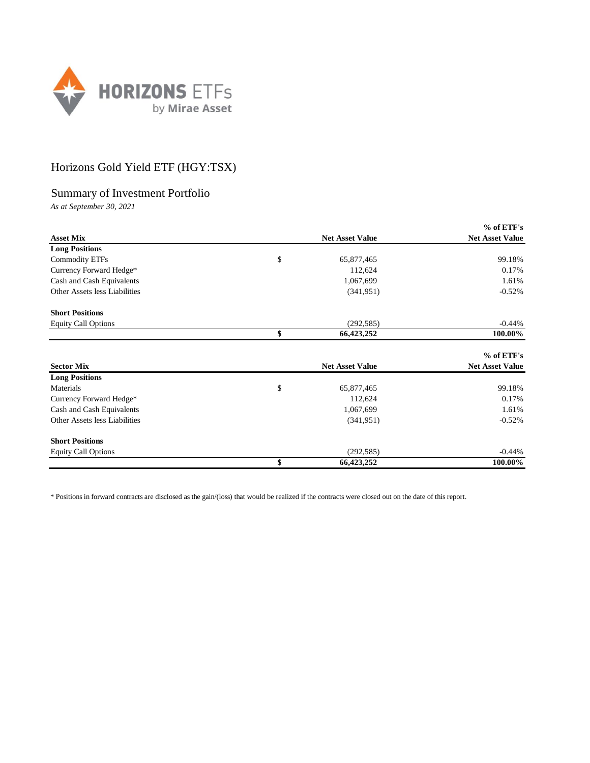

## Horizons Gold Yield ETF (HGY:TSX)

## Summary of Investment Portfolio

*As at September 30, 2021*

|                               |                        | $%$ of ETF's           |
|-------------------------------|------------------------|------------------------|
| <b>Asset Mix</b>              | <b>Net Asset Value</b> | <b>Net Asset Value</b> |
| <b>Long Positions</b>         |                        |                        |
| <b>Commodity ETFs</b>         | \$<br>65,877,465       | 99.18%                 |
| Currency Forward Hedge*       | 112,624                | 0.17%                  |
| Cash and Cash Equivalents     | 1,067,699              | 1.61%                  |
| Other Assets less Liabilities | (341, 951)             | $-0.52%$               |
| <b>Short Positions</b>        |                        |                        |
| <b>Equity Call Options</b>    | (292, 585)             | $-0.44%$               |
|                               | \$<br>66,423,252       | 100.00%                |
|                               |                        | % of ETF's             |
| <b>Sector Mix</b>             | <b>Net Asset Value</b> | <b>Net Asset Value</b> |
| <b>Long Positions</b>         |                        |                        |
| Materials                     | \$<br>65,877,465       | 99.18%                 |
| Currency Forward Hedge*       | 112,624                | 0.17%                  |
| Cash and Cash Equivalents     | 1,067,699              | 1.61%                  |
| Other Assets less Liabilities | (341, 951)             | $-0.52%$               |
| <b>Short Positions</b>        |                        |                        |
| <b>Equity Call Options</b>    | (292, 585)             | $-0.44%$               |
|                               | \$<br>66,423,252       | 100.00%                |

\* Positions in forward contracts are disclosed as the gain/(loss) that would be realized if the contracts were closed out on the date of this report.